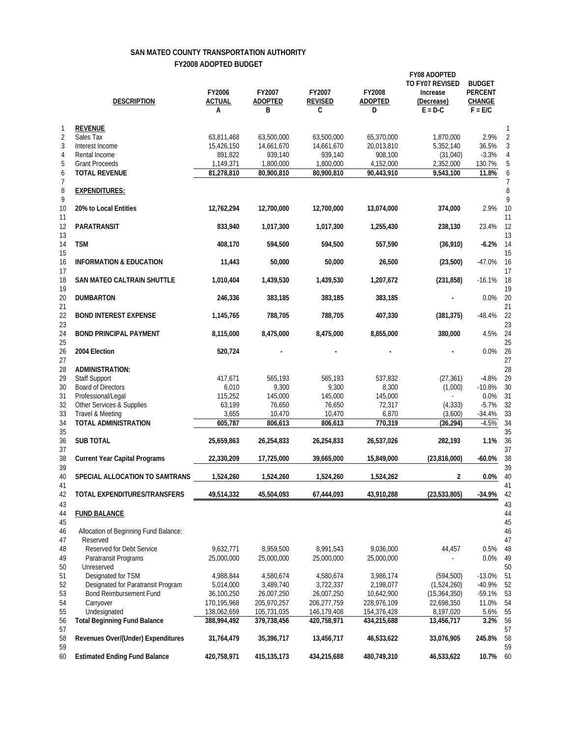## **SAN MATEO COUNTY TRANSPORTATION AUTHORITY FY2008 ADOPTED BUDGET**

|                          | <b>DESCRIPTION</b>                                            | FY2006<br><b>ACTUAL</b><br>А | FY2007<br><b>ADOPTED</b><br>В | FY2007<br><b>REVISED</b><br>C | FY2008<br><b>ADOPTED</b><br>D | <b>FY08 ADOPTED</b><br>TO FY07 REVISED<br>Increase<br>(Decrease)<br>$E = D-C$ | <b>BUDGET</b><br><b>PERCENT</b><br><b>CHANGE</b><br>$F = E/C$ |                          |
|--------------------------|---------------------------------------------------------------|------------------------------|-------------------------------|-------------------------------|-------------------------------|-------------------------------------------------------------------------------|---------------------------------------------------------------|--------------------------|
| $\mathbf{1}$             | <b>REVENUE</b>                                                |                              |                               |                               |                               |                                                                               |                                                               | $\mathbf{1}$             |
| $\overline{2}$           | Sales Tax                                                     | 63,811,468                   | 63,500,000                    | 63,500,000                    | 65,370,000                    | 1,870,000                                                                     | 2.9%                                                          | $\overline{2}$           |
| 3                        | Interest Income                                               | 15,426,150                   | 14,661,670                    | 14,661,670                    | 20,013,810                    | 5,352,140                                                                     | 36.5%                                                         | 3                        |
| $\overline{4}$           | Rental Income                                                 | 891,822                      | 939,140                       | 939,140                       | 908,100                       | (31,040)                                                                      | $-3.3%$                                                       | 4                        |
| 5                        | <b>Grant Proceeds</b>                                         | 1,149,371                    | 1,800,000                     | 1,800,000                     | 4,152,000                     | 2,352,000                                                                     | 130.7%                                                        | 5                        |
| 6                        | <b>TOTAL REVENUE</b>                                          | 81,278,810                   | 80,900,810                    | 80,900,810                    | 90,443,910                    | 9,543,100                                                                     | 11.8%                                                         | 6                        |
| $\overline{7}$<br>8<br>9 | <b>EXPENDITURES:</b>                                          |                              |                               |                               |                               |                                                                               |                                                               | $\overline{7}$<br>8<br>9 |
| 10<br>11                 | 20% to Local Entities                                         | 12,762,294                   | 12,700,000                    | 12,700,000                    | 13,074,000                    | 374,000                                                                       | 2.9%                                                          | 10<br>11                 |
| 12<br>13                 | PARATRANSIT                                                   | 833,940                      | 1,017,300                     | 1,017,300                     | 1,255,430                     | 238,130                                                                       | 23.4%                                                         | 12<br>13                 |
| 14<br>15                 | <b>TSM</b>                                                    | 408,170                      | 594,500                       | 594,500                       | 557,590                       | (36, 910)                                                                     | $-6.2%$                                                       | 14<br>15                 |
| 16<br>17                 | <b>INFORMATION &amp; EDUCATION</b>                            | 11,443                       | 50,000                        | 50,000                        | 26,500                        | (23,500)                                                                      | $-47.0%$                                                      | 16<br>17                 |
| 18<br>19                 | <b>SAN MATEO CALTRAIN SHUTTLE</b>                             | 1,010,404                    | 1,439,530                     | 1,439,530                     | 1,207,672                     | (231, 858)                                                                    | $-16.1%$                                                      | 18<br>19                 |
| 20<br>21<br>22           | <b>DUMBARTON</b><br><b>BOND INTEREST EXPENSE</b>              | 246,336<br>1,145,765         | 383,185<br>788,705            | 383,185<br>788,705            | 383,185<br>407,330            | (381, 375)                                                                    | $0.0\%$<br>$-48.4%$                                           | 20<br>21<br>22           |
| 23<br>24                 | <b>BOND PRINCIPAL PAYMENT</b>                                 | 8,115,000                    | 8,475,000                     | 8,475,000                     | 8,855,000                     | 380,000                                                                       | 4.5%                                                          | 23<br>24                 |
| 25<br>26                 | 2004 Election                                                 | 520,724                      |                               |                               |                               |                                                                               | $0.0\%$                                                       | 25<br>26                 |
| 27                       |                                                               |                              |                               |                               |                               |                                                                               |                                                               | 27                       |
| 28                       | <b>ADMINISTRATION:</b>                                        |                              |                               |                               |                               |                                                                               |                                                               | 28                       |
| 29                       | <b>Staff Support</b>                                          | 417,671                      | 565,193                       | 565,193                       | 537,832                       | (27, 361)                                                                     | $-4.8%$                                                       | 29                       |
| 30                       | <b>Board of Directors</b>                                     | 6,010                        | 9,300                         | 9,300                         | 8,300                         | (1,000)                                                                       | $-10.8%$                                                      | 30                       |
| 31                       | Professional/Legal                                            | 115,252                      | 145,000                       | 145,000                       | 145,000                       | $\overline{a}$                                                                | 0.0%                                                          | 31                       |
| 32                       | Other Services & Supplies                                     | 63,199                       | 76,650                        | 76,650                        | 72,317                        | (4, 333)                                                                      | $-5.7%$                                                       | 32                       |
| 33<br>34                 | Travel & Meeting<br>TOTAL ADMINISTRATION                      | 3,655<br>605,787             | 10,470<br>806,613             | 10,470<br>806,613             | 6,870<br>770,319              | (3,600)<br>(36, 294)                                                          | $-34.4%$<br>$-4.5%$                                           | 33<br>34                 |
| 35                       |                                                               |                              |                               |                               |                               |                                                                               |                                                               | 35                       |
| 36<br>37                 | <b>SUB TOTAL</b>                                              | 25,659,863                   | 26,254,833                    | 26,254,833                    | 26,537,026                    | 282,193                                                                       | 1.1%                                                          | 36<br>37                 |
| 38                       | <b>Current Year Capital Programs</b>                          | 22,330,209                   | 17,725,000                    | 39,665,000                    | 15,849,000                    | (23,816,000)                                                                  | $-60.0\%$                                                     | 38                       |
| 39<br>40                 | SPECIAL ALLOCATION TO SAMTRANS                                | 1,524,260                    | 1,524,260                     | 1,524,260                     | 1,524,262                     | 2                                                                             | $0.0\%$                                                       | 39<br>40                 |
| 41<br>42                 | TOTAL EXPENDITURES/TRANSFERS                                  | 49,514,332                   | 45,504,093                    | 67,444,093                    | 43,910,288                    | (23, 533, 805)                                                                | $-34.9%$                                                      | 41<br>42                 |
| 43<br>44<br>45           | <b>FUND BALANCE</b>                                           |                              |                               |                               |                               |                                                                               |                                                               | 43<br>44<br>45           |
| 46<br>47                 | Allocation of Beginning Fund Balance:<br>Reserved             |                              |                               |                               |                               |                                                                               |                                                               | 46<br>47                 |
| 48                       | Reserved for Debt Service                                     | 9,632,771                    | 8,959,500                     | 8,991,543                     | 9,036,000                     | 44,457                                                                        | 0.5%                                                          | 48                       |
| 49                       | Paratransit Programs                                          | 25,000,000                   | 25,000,000                    | 25,000,000                    | 25,000,000                    |                                                                               | 0.0%                                                          | 49                       |
| 50                       | Unreserved                                                    |                              |                               |                               |                               |                                                                               |                                                               | 50                       |
| 51                       | Designated for TSM                                            | 4,988,844                    | 4,580,674                     | 4,580,674                     | 3,986,174                     | (594, 500)                                                                    | $-13.0%$                                                      | 51                       |
| 52                       | Designated for Paratransit Program<br>Bond Reimbursement Fund | 5,014,000<br>36,100,250      | 3,489,740<br>26,007,250       | 3,722,337                     | 2,198,077                     | (1,524,260)                                                                   | $-40.9%$                                                      | 52                       |
| 53<br>54                 | Carryover                                                     | 170,195,968                  | 205,970,257                   | 26,007,250<br>206,277,759     | 10,642,900<br>228,976,109     | (15, 364, 350)<br>22,698,350                                                  | $-59.1%$<br>11.0%                                             | 53<br>54                 |
| 55                       | Undesignated                                                  | 138,062,659                  | 105,731,035                   | 146,179,408                   | 154,376,428                   | 8,197,020                                                                     | 5.6%                                                          | 55                       |
| 56<br>57                 | <b>Total Beginning Fund Balance</b>                           | 388,994,492                  | 379,738,456                   | 420,758,971                   | 434,215,688                   | 13,456,717                                                                    | 3.2%                                                          | 56<br>57                 |
| 58<br>59                 | Revenues Over/(Under) Expenditures                            | 31,764,479                   | 35,396,717                    | 13,456,717                    | 46,533,622                    | 33,076,905                                                                    | 245.8%                                                        | 58<br>59                 |
| 60                       | <b>Estimated Ending Fund Balance</b>                          | 420,758,971                  | 415, 135, 173                 | 434,215,688                   | 480,749,310                   | 46,533,622                                                                    | 10.7%                                                         | 60                       |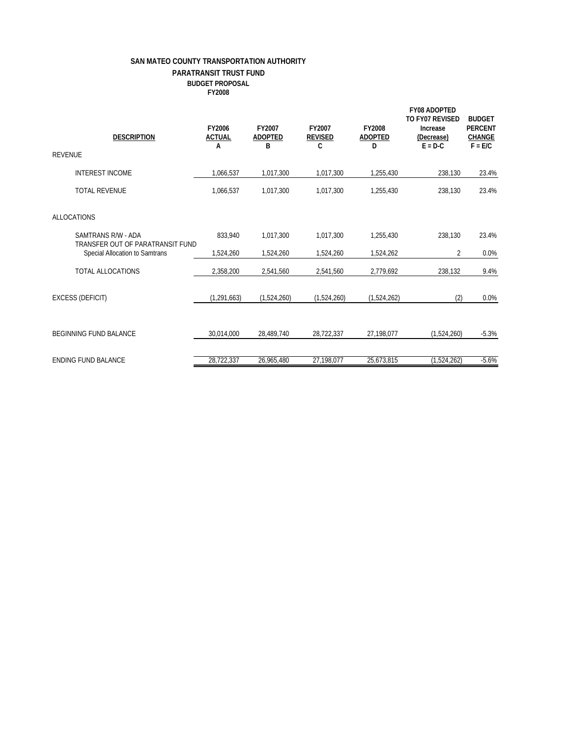## **SAN MATEO COUNTY TRANSPORTATION AUTHORITY PARATRANSIT TRUST FUND BUDGET PROPOSAL FY2008**

| <b>REVENUE</b>                | <b>DESCRIPTION</b>                                                 | FY2006<br><b>ACTUAL</b><br>А | FY2007<br><b>ADOPTED</b><br>B | FY2007<br><b>REVISED</b><br>C | FY2008<br><b>ADOPTED</b><br>D | <b>FY08 ADOPTED</b><br>TO FY07 REVISED<br>Increase<br>(Decrease)<br>$E = D-C$ | <b>BUDGET</b><br><b>PERCENT</b><br><b>CHANGE</b><br>$F = E/C$ |
|-------------------------------|--------------------------------------------------------------------|------------------------------|-------------------------------|-------------------------------|-------------------------------|-------------------------------------------------------------------------------|---------------------------------------------------------------|
|                               | <b>INTEREST INCOME</b>                                             | 1,066,537                    | 1,017,300                     | 1,017,300                     | 1,255,430                     | 238,130                                                                       | 23.4%                                                         |
| <b>TOTAL REVENUE</b>          |                                                                    | 1,066,537                    | 1,017,300                     | 1,017,300                     | 1,255,430                     | 238.130                                                                       | 23.4%                                                         |
| <b>ALLOCATIONS</b>            |                                                                    |                              |                               |                               |                               |                                                                               |                                                               |
|                               | SAMTRANS R/W - ADA                                                 | 833.940                      | 1.017.300                     | 1.017.300                     | 1.255.430                     | 238,130                                                                       | 23.4%                                                         |
|                               | TRANSFER OUT OF PARATRANSIT FUND<br>Special Allocation to Samtrans | 1,524,260                    | 1,524,260                     | 1,524,260                     | 1,524,262                     | $\overline{2}$                                                                | 0.0%                                                          |
|                               | <b>TOTAL ALLOCATIONS</b>                                           | 2,358,200                    | 2,541,560                     | 2,541,560                     | 2,779,692                     | 238,132                                                                       | 9.4%                                                          |
| <b>EXCESS (DEFICIT)</b>       |                                                                    | (1, 291, 663)                | (1,524,260)                   | (1,524,260)                   | (1,524,262)                   | (2)                                                                           | 0.0%                                                          |
| <b>BEGINNING FUND BALANCE</b> |                                                                    | 30,014,000                   | 28,489,740                    | 28,722,337                    | 27,198,077                    | (1,524,260)                                                                   | $-5.3%$                                                       |
| <b>ENDING FUND BALANCE</b>    |                                                                    | 28,722,337                   | 26,965,480                    | 27,198,077                    | 25,673,815                    | (1,524,262)                                                                   | $-5.6%$                                                       |